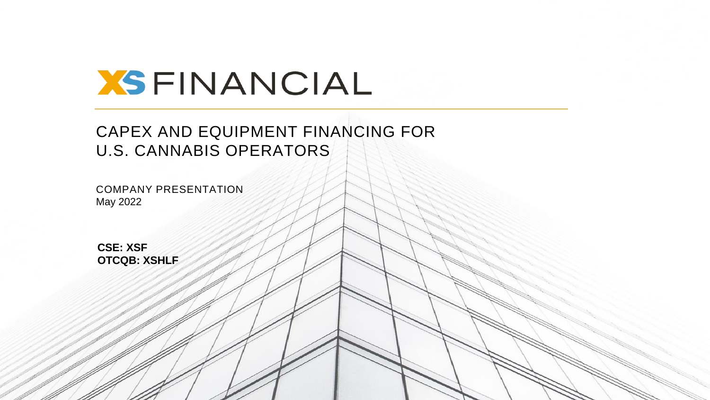

### CAPEX AND EQUIPMENT FINANCING FOR U.S. CANNABIS OPERATORS

HEMP OPERATORS

COMPANY PRESENTATION June 2020

CSE: XSF, OTCQB: XSHLF **1**

COMPANY PRESENTATION May 2022

EQUIPMENT LEASING FOR CANNABIS AND **CSE: XSF OTCQB: XSHLF**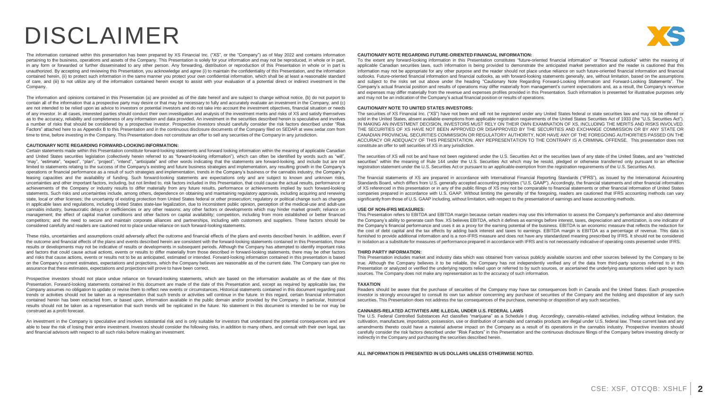## DISCLAIMER

The information contained within this presentation has been prepared by XS Financial Inc. ("XS", or the "Company") as of May 2022 and contains information pertaining to the business, operations and assets of the Company. This Presentation is solely for your information and may not be reproduced, in whole or in part, in any form or forwarded or further disseminated to any other person. Any forwarding, distribution or reproduction of this Presentation in whole or in part is unauthorized. By accepting and reviewing this Presentation, you acknowledge and agree (i) to maintain the confidentiality of this Presentation, and the information contained herein, (ii) to protect such information in the same manner you protect your own confidential information, which shall be at least a reasonable standard of care, and (iii) to not utilize any of the information contained herein except to assist with your evaluation of a potential direct or indirect investment in the Company.

The information and opinions contained in this Presentation (a) are provided as of the date hereof and are subject to change without notice, (b) do not purport to contain all of the information that a prospective party may desire or that may be necessary to fully and accurately evaluate an investment in the Company, and (c) are not intended to be relied upon as advice to investors or potential investors and do not take into account the investment objectives, financial situation or needs of any investor. In all cases, interested parties should conduct their own investigation and analysis of the investment merits and risks of XS and satisfy themselves as to the accuracy, reliability and completeness of any information and data provided. An investment in the securities described herein is speculative and involves a number of risks that should be considered by a prospective investor. Prospective investors should carefully consider the risk factors described under "Risk Factors" attached here to as Appendix B to this Presentation and in the continuous disclosure documents of the Company filed on SEDAR at www.sedar.com from time to time, before investing in the Company. This Presentation does not constitute an offer to sell any securities of the Company in any jurisdiction.

#### **CAUTIONARY NOTE REGARDING FORWARD-LOOKING INFORMATION:**

Certain statements made within this Presentation constitute forward-looking statements and forward looking information within the meaning of applicable Canadian and United States securities legislation (collectively herein referred to as "forward-looking information"), which can often be identified by words such as "will", "may", "estimate", "expect", "plan", "project", "intend", "anticipate" and other words indicating that the statements are forward-looking, and include but are not limited to statements relating to the success of the Company's existing and future business strategies and implementation, any resulting growth in the Company's operations or financial performance as a result of such strategies and implementation, trends in the Company's business or the cannabis industry, the Company's leasing capacities and the availability of funding. Such forward-looking statements are expectations only and are subject to known and unknown risks, uncertainties and other important factors, including, but not limited to, risk factors included in this Presentation, that could cause the actual results, performance or achievements of the Company or industry results to differ materially from any future results, performance or achievements implied by such forward-looking statements. Such risks and uncertainties include, among others, dependence on obtaining and maintaining regulatory approvals, including acquiring and renewing state, local or other licenses; the uncertainty of existing protection from United States federal or other prosecution; regulatory or political change such as changes in applicable laws and regulations, including United States state-law legalization, due to inconsistent public opinion, perception of the medical-use and adult-use cannabis industry, bureaucratic delays or inefficiencies or any other reasons; any other factors or developments which may hinder market growth; reliance on management; the effect of capital market conditions and other factors on capital availability; competition, including from more established or better financed competitors; and the need to secure and maintain corporate alliances and partnerships, including with customers and suppliers. These factors should be considered carefully and readers are cautioned not to place undue reliance on such forward-looking statements.

These risks, uncertainties and assumptions could adversely affect the outcome and financial effects of the plans and events described herein. In addition, even if the outcome and financial effects of the plans and events described herein are consistent with the forward-looking statements contained in this Presentation, those results or developments may not be indicative of results or developments in subsequent periods. Although the Company has attempted to identify important risks and factors that could cause actual actions, events or results to differ materially from those described in forward-looking statements, there may be other factors and risks that cause actions, events or results not to be as anticipated, estimated or intended. Forward-looking information contained in this presentation is based on the Company's current estimates, expectations and projections, which the Company believes are reasonable as of the current date. The Company can give no assurance that these estimates, expectations and projections will prove to have been correct.

Prospective investors should not place undue reliance on forward-looking statements, which are based on the information available as of the date of this Presentation. Forward-looking statements contained in this document are made of the date of this Presentation and, except as required by applicable law, the Company assumes no obligation to update or revise them to reflect new events or circumstances. Historical statements contained in this document regarding past trends or activities should not be taken as a representation that such trends or activities will continue in the future. In this regard, certain financial information contained herein has been extracted from, or based upon, information available in the public domain and/or provided by the Company. In particular, historical results should not be taken as a representation that such trends will be replicated in the future. No statement in this document is intended to be nor may be construed as a profit forecast.

An investment in the Company is speculative and involves substantial risk and is only suitable for investors that understand the potential consequences and are able to bear the risk of losing their entire investment. Investors should consider the following risks, in addition to many others, and consult with their own legal, tax and financial advisors with respect to all such risks before making an investment.

#### **CAUTIONARY NOTE REGARDING FUTURE-ORIENTED FINANCIAL INFORMATION:**

To the extent any forward-looking information in this Presentation constitutes "future-oriented financial information" or "financial outlooks" within the meaning of applicable Canadian securities laws, such information is being provided to demonstrate the anticipated market penetration and the reader is cautioned that this information may not be appropriate for any other purpose and the reader should not place undue reliance on such future-oriented financial information and financial outlooks. Future-oriented financial information and financial outlooks, as with forward-looking statements generally, are, without limitation, based on the assumptions and subject to the risks set out above under the heading "Cautionary Note Regarding Forward-Looking Information and Forward-Looking Statements". The Company's actual financial position and results of operations may differ materially from management's current expectations and, as a result, the Company's revenue and expenses may differ materially from the revenue and expenses profiles provided in this Presentation. Such information is presented for illustrative purposes only and may not be an indication of the Company's actual financial position or results of operations.

#### **CAUTIONARY NOTE TO UNITED STATES INVESTORS:**

The securities of XS Financial Inc. ("XS") have not been and will not be registered under any United States federal or state securities law and may not be offered or sold in the United States, absent available exemptions from applicable registration requirements of the United States Securities Act of 1933 (the "U.S. Securities Act"). IN MAKING AN INVESTMENT DECISION, INVESTORS MUST RELY ON THEIR OWN EXAMINATION OF XS, INCLUDING THE MERITS AND RISKS INVOLVED. THE SECURITIES OF XS HAVE NOT BEEN APPROVED OR DISAPPROVED BY THE SECURITIES AND EXCHANGE COMMISSION OR BY ANY STATE OR CANADIAN PROVINCIAL SECURITIES COMMISSION OR REGULATORY AUTHORITY, NOR HAVE ANY OF THE FOREGOING AUTHORITIES PASSED ON THE ACCURACY OR ADEQUACY OF THIS PRESENTATION. ANY REPRESENTATION TO THE CONTRARY IS A CRIMINAL OFFENSE. This presentation does not constitute an offer to sell securities of XS in any jurisdiction.

The securities of XS will not be and have not been registered under the U.S. Securities Act or the securities laws of any state of the United States, and are "restricted securities" within the meaning of Rule 144 under the U.S. Securities Act which may be resold, pledged or otherwise transferred only pursuant to an effective registration statement under the U.S. Securities Act or pursuant to an applicable exemption from the registration requirements of the U.S. Securities Act.

The financial statements of XS are prepared in accordance with International Financial Reporting Standards ("IFRS"), as issued by the International Accounting Standards Board, which differs from U.S. generally accepted accounting principles ("U.S. GAAP"). Accordingly, the financial statements and other financial information of XS referenced in this presentation or in any of the public filings of XS may not be comparable to financial statements or other financial information of United States companies prepared in accordance with U.S. GAAP. Without limiting the generality of the foregoing, readers are cautioned that IFRS accounting methods can vary significantly from those of U.S. GAAP including, without limitation, with respect to the presentation of earnings and lease accounting methods.

#### **USE OF NON-IFRS MEASURES:**

This Presentation refers to EBITDA and EBITDA margin because certain readers may use this information to assess the Company's performance and also determine the Company's ability to generate cash flow. XS believes EBITDA, which it defines as earnings before interest, taxes, depreciation and amortization, is one indicator of the Company's financial performance and uses it as a proxy for the earning potential of the business. EBITDA is an economic measure that reflects the reduction for the cost of debt capital and the tax effects by adding back interest and taxes to earnings. EBITDA margin is EBITDA as a percentage of revenue. This data is furnished to provide additional information and is a non-IFRS measure and does not have any standardized meaning prescribed by IFRS. It should not be considered in isolation as a substitute for measures of performance prepared in accordance with IFRS and is not necessarily indicative of operating costs presented under IFRS.

#### **THIRD PARTY INFORMATION:**

This Presentation includes market and industry data which was obtained from various publicly available sources and other sources believed by the Company to be true. Although the Company believes it to be reliable, the Company has not independently verified any of the data from third-party sources referred to in this Presentation or analyzed or verified the underlying reports relied upon or referred to by such sources, or ascertained the underlying assumptions relied upon by such sources. The Company does not make any representation as to the accuracy of such information.

#### **TAXATION**

Readers should be aware that the purchase of securities of the Company may have tax consequences both in Canada and the United States. Each prospective investor is strongly encouraged to consult its own tax advisor concerning any purchase of securities of the Company and the holding and disposition of any such securities. This Presentation does not address the tax consequences of the purchase, ownership or disposition of any such securities.

#### **CANNABIS-RELATED ACTIVITIES ARE ILLEGAL UNDER U.S. FEDERAL LAWS**

The U.S. Federal Controlled Substances Act classifies "marijuana" as a Schedule I drug. Accordingly, cannabis-related activities, including without limitation, the cultivation, manufacture, importation, possession, use or distribution of cannabis and cannabis products are illegal under U.S. federal law. These current laws and any amendments thereto could have a material adverse impact on the Company as a result of its operations in the cannabis industry. Prospective investors should carefully consider the risk factors described under "Risk Factors" in this Presentation and the continuous disclosure filings of the Company before investing directly or indirectly in the Company and purchasing the securities described herein.

**ALL INFORMATION IS PRESENTED IN US DOLLARS UNLESS OTHERWISE NOTED.**

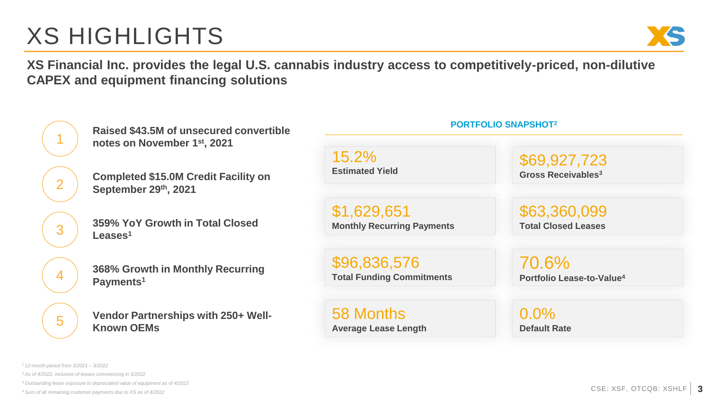# XS HIGHLIGHTS



**XS Financial Inc. provides the legal U.S. cannabis industry access to competitively-priced, non-dilutive CAPEX and equipment financing solutions**



**Raised \$43.5M of unsecured convertible notes on November 1st, 2021**

**Completed \$15.0M Credit Facility on September 29th, 2021**

**359% YoY Growth in Total Closed Leases<sup>1</sup>**

**Example 15 and 16 and 16 and 16 and 16 and 16 and 16 and 16 and 16 and 16 and 16 and 16 and 16 and 16 and 16 and 16 and 16 and 16 and 16 and 16 and 16 and 16 and 16 and 16 and 16 and 16 and 16 and 16 and 16 and 16 and 16 368% Growth in Monthly Recurring Payments<sup>1</sup>**

**Vendor Partnerships with 250+ Well-Known OEMs**

### 15.2% **Estimated Yield**

\$1,629,651 **Monthly Recurring Payments**

\$96,836,576

58 Months **Average Lease Length**

## \$69,927,723

**PORTFOLIO SNAPSHOT<sup>2</sup>**

**Gross Receivables<sup>3</sup>**

\$63,360,099 **Total Closed Leases**

70.6%

0.0% **Default Rate**

*<sup>3</sup>Outstanding lease exposure to depreciated value of equipment as of 4/2022*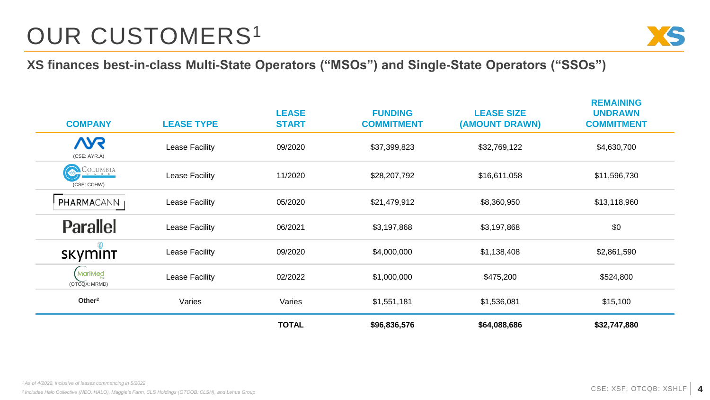# OUR CUSTOMERS<sup>1</sup>



**XS finances best-in-class Multi-State Operators ("MSOs") and Single-State Operators ("SSOs")**

| <b>COMPANY</b>                 | <b>LEASE TYPE</b> | <b>LEASE</b><br><b>START</b> | <b>FUNDING</b><br><b>COMMITMENT</b> | <b>LEASE SIZE</b><br>(AMOUNT DRAWN) | <b>REMAINING</b><br><b>UNDRAWN</b><br><b>COMMITMENT</b> |
|--------------------------------|-------------------|------------------------------|-------------------------------------|-------------------------------------|---------------------------------------------------------|
| <b>VYS</b><br>(CSE: AYR.A)     | Lease Facility    | 09/2020                      | \$37,399,823                        | \$32,769,122                        | \$4,630,700                                             |
| $C_{c}$ olumbia<br>(CSE: CCHW) | Lease Facility    | 11/2020                      | \$28,207,792                        | \$16,611,058                        | \$11,596,730                                            |
| <b>PHARMA</b> CANN             | Lease Facility    | 05/2020                      | \$21,479,912                        | \$8,360,950                         | \$13,118,960                                            |
| <b>Parallel</b>                | Lease Facility    | 06/2021                      | \$3,197,868                         | \$3,197,868                         | \$0                                                     |
| <b>SKYMINT</b>                 | Lease Facility    | 09/2020                      | \$4,000,000                         | \$1,138,408                         | \$2,861,590                                             |
| (MariMed<br>(OTCQX: MRMD)      | Lease Facility    | 02/2022                      | \$1,000,000                         | \$475,200                           | \$524,800                                               |
| Other <sup>2</sup>             | Varies            | Varies                       | \$1,551,181                         | \$1,536,081                         | \$15,100                                                |
|                                |                   | <b>TOTAL</b>                 | \$96,836,576                        | \$64,088,686                        | \$32,747,880                                            |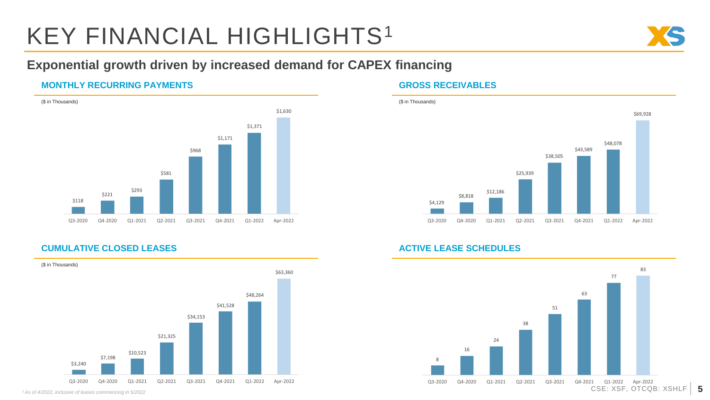# KEY FINANCIAL HIGHLIGHTS<sup>1</sup>



### **Exponential growth driven by increased demand for CAPEX financing**

### **MONTHLY RECURRING PAYMENTS GROSS RECEIVABLES**







### **CUMULATIVE CLOSED LEASES ACTIVE LEASE SCHEDULES**



*<sup>1</sup>As of 4/2022, inclusive of leases commencing in 5/2022*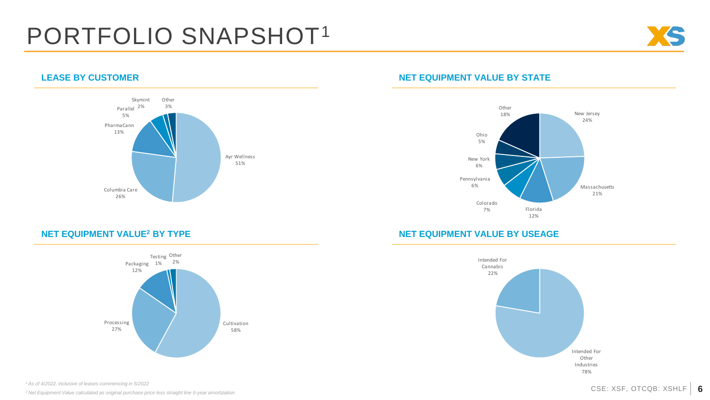## PORTFOLIO SNAPSHOT<sup>1</sup>





### **LEASE BY CUSTOMER NET EQUIPMENT VALUE BY STATE**



### **NET EQUIPMENT VALUE<sup>2</sup> BY TYPE NET EQUIPMENT VALUE BY USEAGE**





*<sup>1</sup>As of 4/2022, inclusive of leases commencing in 5/2022*

*<sup>2</sup>Net Equipment Value calculated as original purchase price less straight line 6-year amortization*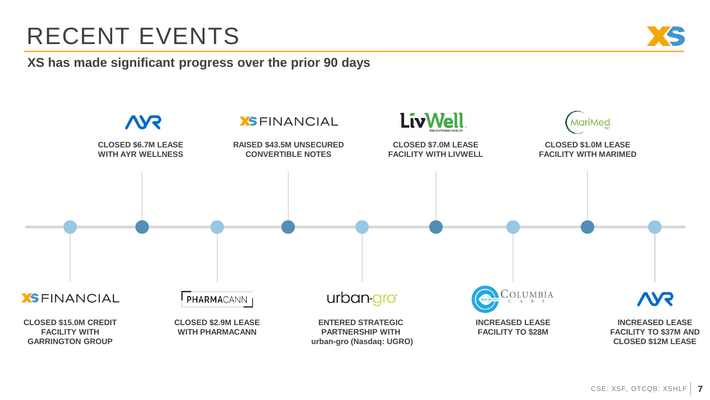# RECENT EVENTS

**XS has made significant progress over the prior 90 days**

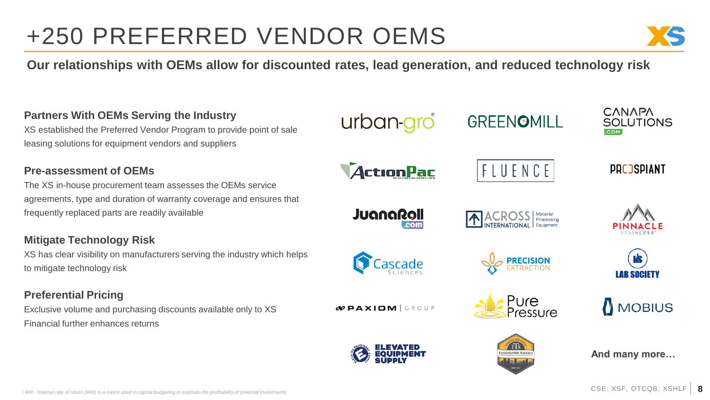# +250 PREFERRED VENDOR OEMS



**Our relationships with OEMs allow for discounted rates, lead generation, and reduced technology risk**

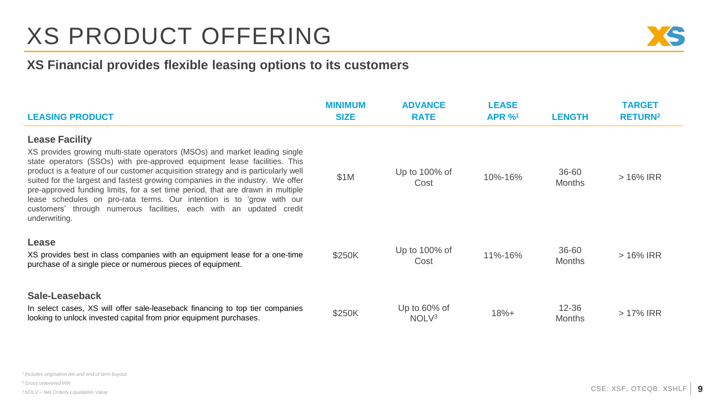# XS PRODUCT OFFERING



### **XS Financial provides flexible leasing options to its customers**

| <b>LEASING PRODUCT</b>                                                                                                                                                                                                                                                                                                                                                                                                                                                                                                                                                                                      | <b>MINIMUM</b><br><b>SIZE</b> | <b>ADVANCE</b><br><b>RATE</b>        | <b>LEASE</b><br><b>APR %1</b> | <b>LENGTH</b>              | <b>TARGET</b><br><b>RETURN<sup>2</sup></b> |
|-------------------------------------------------------------------------------------------------------------------------------------------------------------------------------------------------------------------------------------------------------------------------------------------------------------------------------------------------------------------------------------------------------------------------------------------------------------------------------------------------------------------------------------------------------------------------------------------------------------|-------------------------------|--------------------------------------|-------------------------------|----------------------------|--------------------------------------------|
| <b>Lease Facility</b><br>XS provides growing multi-state operators (MSOs) and market leading single<br>state operators (SSOs) with pre-approved equipment lease facilities. This<br>product is a feature of our customer acquisition strategy and is particularly well<br>suited for the largest and fastest growing companies in the industry. We offer<br>pre-approved funding limits, for a set time period, that are drawn in multiple<br>lease schedules on pro-rata terms. Our intention is to 'grow with our<br>customers' through numerous facilities, each with an updated credit<br>underwriting. | \$1M                          | Up to 100% of<br>Cost                | 10%-16%                       | 36-60<br><b>Months</b>     | $>16\%$ IRR                                |
| Lease<br>XS provides best in class companies with an equipment lease for a one-time<br>purchase of a single piece or numerous pieces of equipment.                                                                                                                                                                                                                                                                                                                                                                                                                                                          | \$250K                        | Up to 100% of<br>Cost                | 11%-16%                       | 36-60<br><b>Months</b>     | $>$ 16% IRR                                |
| Sale-Leaseback<br>In select cases, XS will offer sale-leaseback financing to top tier companies<br>looking to unlock invested capital from prior equipment purchases.                                                                                                                                                                                                                                                                                                                                                                                                                                       | \$250K                        | Up to $60\%$ of<br>NOLV <sup>3</sup> | $18% +$                       | $12 - 36$<br><b>Months</b> | $>17\%$ IRR                                |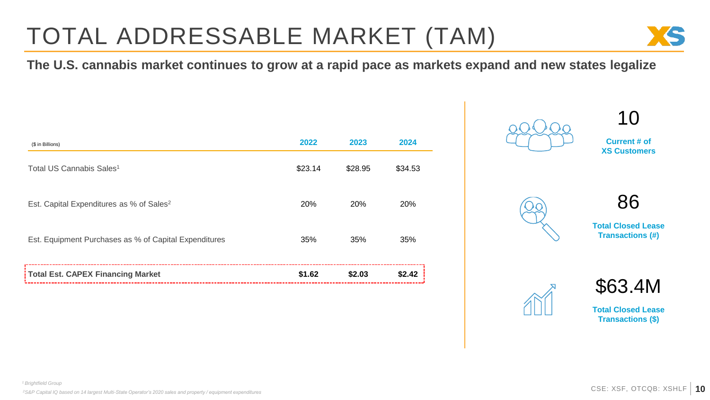# TOTAL ADDRESSABLE MARKET (TAM)







86

10

**Total Closed Lease Transactions (#)**





**Total Closed Lease Transactions (\$)**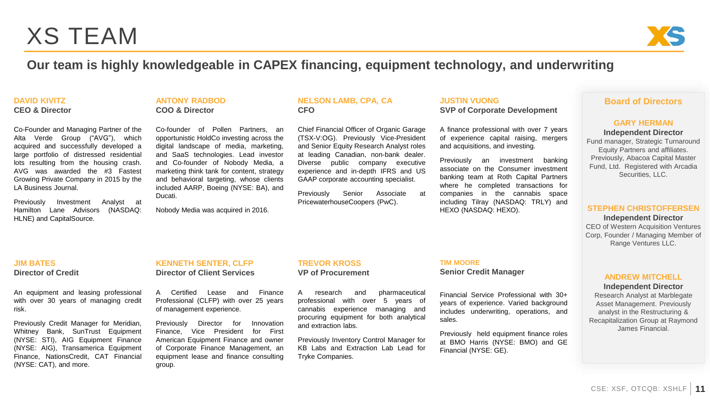## XS TEAM



### **Our team is highly knowledgeable in CAPEX financing, equipment technology, and underwriting**

#### **DAVID KIVITZ**

**CEO & Director**

Co-Founder and Managing Partner of the Alta Verde Group ("AVG"), which acquired and successfully developed a large portfolio of distressed residential lots resulting from the housing crash. AVG was awarded the #3 Fastest Growing Private Company in 2015 by the LA Business Journal.

Previously Investment Analyst at Hamilton Lane Advisors (NASDAQ: HLNE) and CapitalSource.

### **ANTONY RADBOD COO & Director**

Co-founder of Pollen Partners, an opportunistic HoldCo investing across the digital landscape of media, marketing, and SaaS technologies. Lead investor and Co-founder of Nobody Media, a marketing think tank for content, strategy and behavioral targeting, whose clients included AARP, Boeing (NYSE: BA), and Ducati.

Nobody Media was acquired in 2016.

### **NELSON LAMB, CPA, CA CFO**

Chief Financial Officer of Organic Garage (TSX-V:OG). Previously Vice-President and Senior Equity Research Analyst roles at leading Canadian, non-bank dealer. Diverse public company executive experience and in-depth IFRS and US GAAP corporate accounting specialist.

Previously Senior Associate at PricewaterhouseCoopers (PwC).

**JUSTIN VUONG SVP of Corporate Development**

A finance professional with over 7 years of experience capital raising, mergers and acquisitions, and investing.

Previously an investment banking associate on the Consumer investment banking team at Roth Capital Partners where he completed transactions for companies in the cannabis space including Tilray (NASDAQ: TRLY) and HEXO (NASDAQ: HEXO).

### **Board of Directors**

#### **GARY HERMAN**

**Independent Director** Fund manager, Strategic Turnaround Equity Partners and affiliates. Previously, Abacoa Capital Master Fund, Ltd. Registered with Arcadia Securities, LLC.

### **STEPHEN CHRISTOFFERSEN**

**Independent Director** CEO of Western Acquisition Ventures Corp, Founder / Managing Member of Range Ventures LLC.

### **ANDREW MITCHELL**

#### **Independent Director**

Research Analyst at Marblegate Asset Management. Previously analyst in the Restructuring & Recapitalization Group at Raymond James Financial.

### **JIM BATES Director of Credit**

An equipment and leasing professional with over 30 years of managing credit risk.

Previously Credit Manager for Meridian, Whitney Bank, SunTrust Equipment (NYSE: STI), AIG Equipment Finance (NYSE: AIG), Transamerica Equipment Finance, NationsCredit, CAT Financial (NYSE: CAT), and more.

### **KENNETH SENTER, CLFP Director of Client Services**

A Certified Lease and Finance Professional (CLFP) with over 25 years of management experience.

Previously Director for Innovation Finance, Vice President for First American Equipment Finance and owner of Corporate Finance Management, an equipment lease and finance consulting group.

### **TREVOR KROSS VP of Procurement**

A research and pharmaceutical professional with over 5 years of cannabis experience managing and procuring equipment for both analytical and extraction labs.

Previously Inventory Control Manager for KB Labs and Extraction Lab Lead for Tryke Companies.

### **TIM MOORE**

**Senior Credit Manager**

Financial Service Professional with 30+ years of experience. Varied background includes underwriting, operations, and sales.

Previously held equipment finance roles at BMO Harris (NYSE: BMO) and GE Financial (NYSE: GE).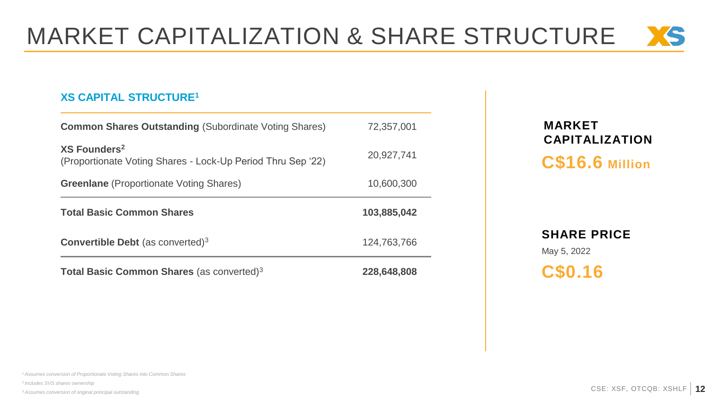# MARKET CAPITALIZATION & SHARE STRUCTURE XS

### **XS CAPITAL STRUCTURE<sup>1</sup>**

| Total Basic Common Shares (as converted) <sup>3</sup>                                   | 228.648.808 |  |  |
|-----------------------------------------------------------------------------------------|-------------|--|--|
| <b>Convertible Debt</b> (as converted) <sup>3</sup>                                     | 124.763.766 |  |  |
| <b>Total Basic Common Shares</b>                                                        | 103,885,042 |  |  |
| <b>Greenlane</b> (Proportionate Voting Shares)                                          | 10.600.300  |  |  |
| XS Founders <sup>2</sup><br>(Proportionate Voting Shares - Lock-Up Period Thru Sep '22) | 20,927,741  |  |  |
| <b>Common Shares Outstanding (Subordinate Voting Shares)</b>                            | 72,357,001  |  |  |

### **MARKET CAPITALIZATION C\$16.6 Million**

### **SHARE PRICE** May 5, 2022

**C\$0.16**